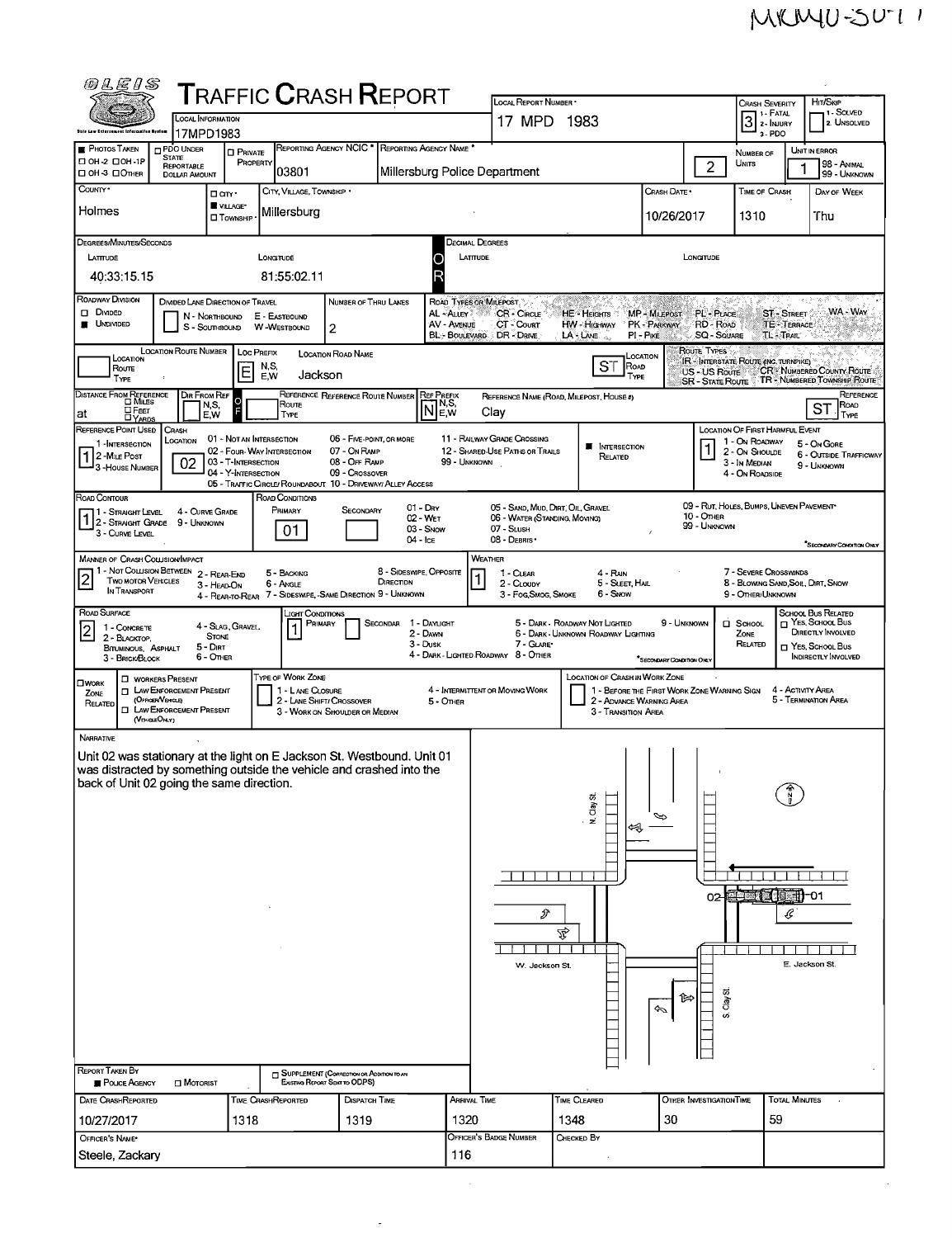$\bar{\mathcal{A}}$ 

| @LE1S                                                                                                                                        |                                                                                                                                        |                                                                          |                                                                    | ${\sf T}$ RAFFIC ${\sf C}$ RASH ${\sf R}$ EPORT                                                                                                                                                                                                             |                                                                                 | LOCAL REPORT NUMBER *                                                                                                                     |                                                                       |                                                          |                                                         | <b>CRASH SEVERITY</b>                                                           | Hit/Skip                                                          |  |  |
|----------------------------------------------------------------------------------------------------------------------------------------------|----------------------------------------------------------------------------------------------------------------------------------------|--------------------------------------------------------------------------|--------------------------------------------------------------------|-------------------------------------------------------------------------------------------------------------------------------------------------------------------------------------------------------------------------------------------------------------|---------------------------------------------------------------------------------|-------------------------------------------------------------------------------------------------------------------------------------------|-----------------------------------------------------------------------|----------------------------------------------------------|---------------------------------------------------------|---------------------------------------------------------------------------------|-------------------------------------------------------------------|--|--|
|                                                                                                                                              | <b>LOCAL INFORMATION</b>                                                                                                               |                                                                          |                                                                    |                                                                                                                                                                                                                                                             |                                                                                 | 17 MPD 1983                                                                                                                               |                                                                       |                                                          |                                                         | 1 1 - Fatal<br>$\overline{3}$<br>2 - NJURY                                      | 1 SOLVED<br>2. UNSOLVED                                           |  |  |
| Shis Law Enforcement Information System<br><b>PHOTOS TAKEN</b>                                                                               | 17MPD1983<br><b>PDO UNDER</b>                                                                                                          | <b>D</b> PRIVATE                                                         |                                                                    | REPORTING AGENCY NCIC * REPORTING AGENCY NAME *                                                                                                                                                                                                             |                                                                                 |                                                                                                                                           |                                                                       |                                                          |                                                         | 3-PDO<br>NUMBER OF                                                              | UNIT IN ERROR                                                     |  |  |
| □ 0Н-2 □ 0Н-1Р<br>□ OH-3 □ OTHER                                                                                                             | <b>STATE</b><br>REPORTABLE<br><b>DOLLAR AMOUNT</b>                                                                                     | <b>PROPERTY</b>                                                          | 03801                                                              |                                                                                                                                                                                                                                                             | Millersburg Police Department                                                   |                                                                                                                                           |                                                                       |                                                          | $\overline{2}$                                          | UNITS                                                                           | 98 - ANIMAL<br>99 - UNKNOWN                                       |  |  |
| County .                                                                                                                                     | □ an·                                                                                                                                  | VILLAGE*                                                                 | CITY, VILLAGE, TOWNSHIP .                                          |                                                                                                                                                                                                                                                             |                                                                                 |                                                                                                                                           |                                                                       | CRASH DATE *                                             |                                                         | TIME OF CRASH                                                                   | DAY OF WEEK                                                       |  |  |
| Holmes                                                                                                                                       |                                                                                                                                        | <b>I</b> Township                                                        | Millersburg                                                        |                                                                                                                                                                                                                                                             |                                                                                 |                                                                                                                                           |                                                                       | 10/26/2017                                               |                                                         | 1310                                                                            | Thu                                                               |  |  |
| DEGREES/MINUTES/SECONDS<br>LATTUDE                                                                                                           |                                                                                                                                        | Longitude                                                                |                                                                    |                                                                                                                                                                                                                                                             | Decimal Degrees<br>LATITUDE<br>O                                                |                                                                                                                                           |                                                                       |                                                          | LONGTUDE                                                |                                                                                 |                                                                   |  |  |
| 40:33:15.15                                                                                                                                  |                                                                                                                                        |                                                                          | 81:55:02.11                                                        |                                                                                                                                                                                                                                                             |                                                                                 |                                                                                                                                           |                                                                       |                                                          |                                                         |                                                                                 |                                                                   |  |  |
| <b>ROADWAY DIVISION</b><br><b>O</b> DIVIDED<br><b>UNDIVIDED</b>                                                                              | DIVIDED LANE DIRECTION OF TRAVEL<br>N - NORTHBOUND<br>S - SouthBound                                                                   | E - EASTBOUND<br>W-WESTBOUND                                             |                                                                    | NUMBER OF THRU LANES<br>2                                                                                                                                                                                                                                   | ROAD TYPES OR MILEPOST.<br>AL ALLEY<br>AV - AVENUE<br>BL:- BOULEVARD DR - DRIVE | CR - Cincus<br>CT - Count                                                                                                                 | HE - Heights<br>HW - Higriway<br>LA LANE                              | MP - MILEPOST<br>PK - PARKWAY<br>$PI - P$ <sub>IKE</sub> | PL-Puce<br>RD - ROAD<br>SQ - SQUARE                     | <b>ST - STREET</b><br>TE - TERRACE<br><b>TL-TRAIL</b>                           | WA - WAY                                                          |  |  |
| Location<br>Route<br>TYPE                                                                                                                    | LOCATION ROUTE NUMBER                                                                                                                  | LOC PREFIX<br>N,S,<br>Е<br>E,W                                           | Jackson                                                            | <b>LOCATION ROAD NAME</b>                                                                                                                                                                                                                                   |                                                                                 |                                                                                                                                           | ST<br>ROAD<br>TYPE                                                    | LOCATION                                                 | ROUTE TYPES<br>US - US Route<br><b>SR - STATE ROUTE</b> | IR - INTERSTATE ROUTE (INC. TURNPIKE)                                           | CR - NUMBERED COUNTY ROUTE<br><b>TR - NUMBERED TOWNSHIP ROUTE</b> |  |  |
| DISTANCE FROM REFERENCE<br>□Fεετ<br>at                                                                                                       | DIR FROM REF<br>N,S,<br>E, W                                                                                                           |                                                                          | Route<br>TYPE                                                      | REFERENCE REFERENCE ROUTE NUMBER                                                                                                                                                                                                                            | <b>REF PREFIX</b><br>N <sup>NS</sup>                                            | Clav                                                                                                                                      | REFERENCE NAME (ROAD, MILEPOST, HOUSE #)                              |                                                          |                                                         |                                                                                 | REFERENCE<br><b>ROAD</b><br>SТ<br>TYPE                            |  |  |
| <b>LYARDS</b><br>REFERENCE POINT USED                                                                                                        | <b>CRASH</b><br>Location                                                                                                               | 01 - NOT AN INTERSECTION                                                 |                                                                    | 06 - FIVE-POINT, OR MORE                                                                                                                                                                                                                                    |                                                                                 | 11 - RAILWAY GRADE CROSSING                                                                                                               |                                                                       |                                                          |                                                         | LOCATION OF FIRST HARMFUL EVENT<br>1 - On ROADWAY                               |                                                                   |  |  |
| 1-INTERSECTION<br>2 - MILE POST<br>3-HOUSE NUMBER                                                                                            | 02                                                                                                                                     | 02 - FOUR-WAY INTERSECTION<br>03 - T-INTERSECTION<br>04 - Y-INTERSECTION |                                                                    | 07 - On RAMP<br>08 - OFF RAMP<br>09 - Crossover<br>05 - TRAFFIC CIRCLE/ ROUNDABOUT 10 - DRIVEWAY/ ALLEY ACCESS                                                                                                                                              | 99 - UNKNOWN                                                                    | 12 - SHARED-USE PATHS OR TRAILS                                                                                                           | <b>NE INTERSECTION</b><br>RELATED                                     |                                                          |                                                         | 2 - On Shoulde<br>3 - In MEDIAN<br>4 - On ROADSIDE                              | 5 - On Gore<br>6 - OUTSIDE TRAFFICWAY<br>9 - UNKNOWN              |  |  |
| ROAD CONTOUR<br>1 - Straight Level<br>I 2 - STRAIGHT GRADE 9 - UNKNOWN<br>3 - CURVE LEVEL                                                    | 4 - CURVE GRADE                                                                                                                        |                                                                          | ROAD CONDITIONS<br>Primary<br>01                                   | $01 - Draw$<br>SECONDARY                                                                                                                                                                                                                                    | 02 - WET<br>03 - Snow                                                           | 05 - SAND, MUD, DIRT, OIL, GRAVEL<br>06 - WATER (STANDING, MOVING)<br>07 - SLush                                                          |                                                                       |                                                          | 10 - OTHER<br>99 - UNKNOWN                              | 09 - RUT, HOLES, BUMPS, UNEVEN PAVEMENT                                         |                                                                   |  |  |
| MANNER OF CRASH COLLISION/IMPACT                                                                                                             |                                                                                                                                        |                                                                          |                                                                    | $04 -$ ICE                                                                                                                                                                                                                                                  |                                                                                 | 08 - DEBRIS *<br>WEATHER                                                                                                                  |                                                                       |                                                          |                                                         |                                                                                 | SECONDARY CONDITION ONLY                                          |  |  |
| <b>TWO MOTOR VEHICLES</b><br>IN TRANSPORT                                                                                                    | 1 - Not Collision Between 2 - REAR-END<br>3 - HEAD-ON                                                                                  |                                                                          | 5 - BACKING<br>6 - Angle                                           | 8 - SIDESWIPE, OPPOSITE<br>DIRECTION<br>4 - REAR-TO-REAR 7 - SIDESWIPE, -SAME DIRECTION 9 - UNKNOWN                                                                                                                                                         |                                                                                 | 1 - Clear<br>2 - CLOUDY<br>3 - Fog Smog, Smoke                                                                                            | 4 - RAIN<br>5 - SLEET, HAIL<br>6 - Snow                               |                                                          |                                                         | 7 - SEVERE CROSSWINDS<br>8 - BLOWING SAND SOIL, DIRT, SNOW<br>9 - OTHER/UNKNOWN |                                                                   |  |  |
| ROAD SURFACE<br>1 - CONCRETE                                                                                                                 |                                                                                                                                        | 4 - SLAG, GRAVEL,                                                        | _конт <b>Сомоглом</b> s<br>PRIMARY                                 | SECONDAR                                                                                                                                                                                                                                                    | 1 - Daylight<br>2 - DAWN                                                        |                                                                                                                                           | 5 - DARK - ROADWAY NOT LIGHTED<br>6 - DARK - UNKNOWN ROADWAY LIGHTING | 9 - Unknown                                              |                                                         | <b>D</b> SCHOOL<br>ZONE                                                         | SCHOOL BUS RELATED<br>$\Box$ Yes, School Bus<br>DIRECTLY INVOLVED |  |  |
| 2 - BLACKTOP.<br>BITUMINOUS, ASPHALT<br>3 - BRICK/BLOCK                                                                                      | <b>STONE</b><br>$5 - D$ IRT<br>6 - OTHER                                                                                               |                                                                          |                                                                    |                                                                                                                                                                                                                                                             | 3 - Dusk                                                                        | 7 - GLARE*<br>RELATED<br>T YES, SCHOOL BUS<br>4 - DARK LIGHTED ROADWAY 8 - OTHER<br><b>INDIRECTLY INVOLVED</b><br>SECONDARY CONDITION ONL |                                                                       |                                                          |                                                         |                                                                                 |                                                                   |  |  |
| $\square$ WORK<br>ZONE<br>RELATED                                                                                                            | <b>D</b> WORKERS PRESENT<br><b>I LAW ENFORCEMENT PRESENT</b><br>(OFFICER VEHICLE)<br><b>I LAW ENFORCEMENT PRESENT</b><br>(VEHICLEONLY) |                                                                          | TYPE OF WORK ZONE<br>1 - LANE CLOSURE<br>2 - LANE SHIFT/ CROSSOVER | 3 - WORK ON SHOULDER OR MEDIAN                                                                                                                                                                                                                              | 5 - OTHER                                                                       | 4 - INTERMITTENT OR MOVING WORK                                                                                                           | 1 - BEFORE THE FIRST WORK ZONE WARNING SIGN                           | 4 - Activity Area<br>5 - TERMINATION AREA                |                                                         |                                                                                 |                                                                   |  |  |
| <b>NARRATIVE</b><br>back of Unit 02 going the same direction.<br><b>REPORT TAKEN BY</b><br><b>POLICE AGENCY</b><br><b>DATE CRASHREPORTED</b> | $\Box$ MOTORIST                                                                                                                        | TIME CRASHREPORTED                                                       |                                                                    | Unit 02 was stationary at the light on E Jackson St. Westbound. Unit 01<br>was distracted by something outside the vehicle and crashed into the<br><b>SUPPLEMENT (CORRECTION OR ADDITION TO AN</b><br>Existing Report Sent to ODPS)<br><b>DISPATCH TIME</b> | <b>ARRIVAL TIME</b>                                                             | s<br>W. Jackson St.                                                                                                                       | N. Clay St.<br>Ā<br>TIME CLEARED                                      | া≂<br>Ψ                                                  | 02<br>Clay St<br>o,<br><b>OTHER INVESTIGATION TIME</b>  | <b>ora:18 +11-01</b><br>€<br><b>TOTAL MINUTES</b>                               | E. Jackson St.                                                    |  |  |
| 10/27/2017                                                                                                                                   |                                                                                                                                        | 1318                                                                     |                                                                    | 1319                                                                                                                                                                                                                                                        | 1320                                                                            |                                                                                                                                           | 1348                                                                  | 30                                                       |                                                         | 59                                                                              |                                                                   |  |  |
| OFFICER'S NAME*<br>Steele, Zackary                                                                                                           |                                                                                                                                        |                                                                          |                                                                    |                                                                                                                                                                                                                                                             | 116                                                                             | Officer's Badge Number                                                                                                                    | CHECKED BY                                                            |                                                          |                                                         |                                                                                 |                                                                   |  |  |
|                                                                                                                                              |                                                                                                                                        |                                                                          |                                                                    |                                                                                                                                                                                                                                                             |                                                                                 |                                                                                                                                           |                                                                       |                                                          |                                                         |                                                                                 |                                                                   |  |  |

 $\mathcal{L}^{\pm}$ 

**San Engineer**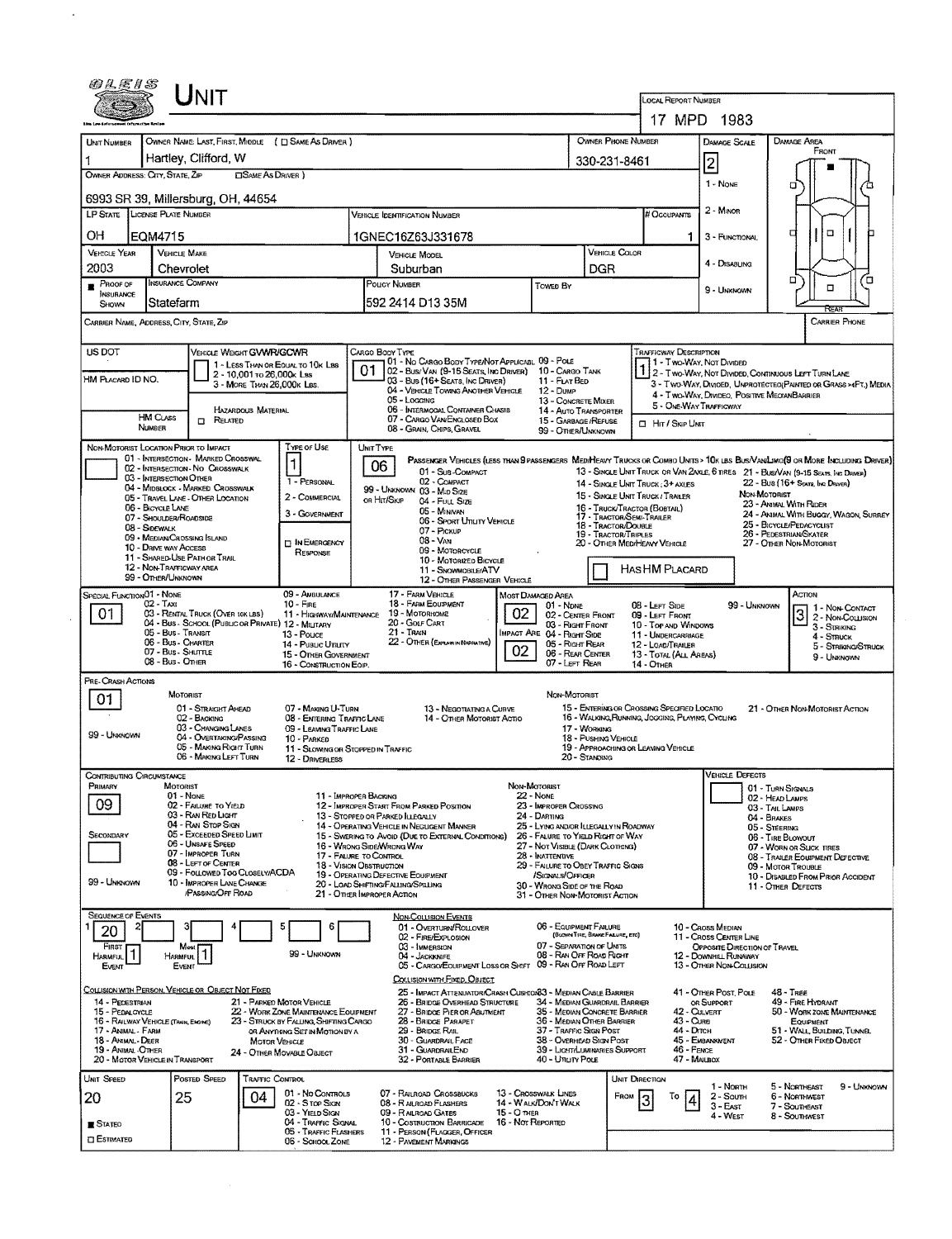|                                              |                                                                              |                                                                          |                                                                                                                |                                     |                                                 | LOCAL REPORT NUMBER                                                        |                                                                    |                                                                        |                                                                                                                               |  |  |
|----------------------------------------------|------------------------------------------------------------------------------|--------------------------------------------------------------------------|----------------------------------------------------------------------------------------------------------------|-------------------------------------|-------------------------------------------------|----------------------------------------------------------------------------|--------------------------------------------------------------------|------------------------------------------------------------------------|-------------------------------------------------------------------------------------------------------------------------------|--|--|
|                                              |                                                                              |                                                                          |                                                                                                                |                                     |                                                 |                                                                            |                                                                    | 17 MPD 1983                                                            |                                                                                                                               |  |  |
| UNIT NUMBER                                  | OWNER NAME: LAST, FIRST, MIDDLE ( E) SAME AS DRIVER )                        |                                                                          |                                                                                                                |                                     |                                                 | OWNER PHONE NUMBER                                                         |                                                                    | <b>DAMAGE SCALE</b>                                                    | <b>DAMAGE AREA</b><br>FRONT                                                                                                   |  |  |
|                                              | Hartley, Clifford, W                                                         |                                                                          |                                                                                                                |                                     |                                                 | 330-231-8461                                                               |                                                                    | $\overline{\mathbf{c}}$                                                |                                                                                                                               |  |  |
|                                              | OWNER ADDRESS: CITY, STATE, ZIP                                              | <b>CISAME AS DRIVER</b> )                                                |                                                                                                                |                                     |                                                 |                                                                            |                                                                    | 1 - NONE                                                               | σ                                                                                                                             |  |  |
|                                              | 6993 SR 39, Millersburg, OH, 44654                                           |                                                                          |                                                                                                                |                                     |                                                 |                                                                            |                                                                    |                                                                        |                                                                                                                               |  |  |
|                                              | LP STATE LICENSE PLATE NUMBER                                                |                                                                          | <b>VEHICLE IDENTIFICATION NUMBER</b>                                                                           |                                     |                                                 |                                                                            | # Occupants                                                        | $2 -$ Minor                                                            |                                                                                                                               |  |  |
| OН                                           | EQM4715                                                                      |                                                                          | 1GNEC16Z63J331678                                                                                              |                                     |                                                 |                                                                            | 1                                                                  | 3 - FUNCTIONAL                                                         | $\Box$<br>д                                                                                                                   |  |  |
| <b>VEHICLE YEAR</b>                          | <b>VEHICLE MAKE</b>                                                          |                                                                          | <b>VEHICLE MODEL</b>                                                                                           |                                     |                                                 | <b>VEHICLE COLOR</b>                                                       |                                                                    |                                                                        |                                                                                                                               |  |  |
| 2003                                         | Chevrolet                                                                    |                                                                          | Suburban                                                                                                       |                                     |                                                 | DGR                                                                        |                                                                    | 4 - DISABLING                                                          | ־ם<br>″0                                                                                                                      |  |  |
| PROOF OF<br>INSURANCE                        | Insurance Company                                                            |                                                                          | POLICY NUMBER<br>Towen By                                                                                      |                                     |                                                 |                                                                            |                                                                    | 9 - UNKNOWN                                                            | п                                                                                                                             |  |  |
| SHOWN                                        | Statefarm                                                                    |                                                                          | 592 2414 D13 35M                                                                                               |                                     |                                                 |                                                                            |                                                                    |                                                                        |                                                                                                                               |  |  |
|                                              | CARRIER NAME, ADDRESS, CITY, STATE, ZIP                                      |                                                                          |                                                                                                                |                                     |                                                 |                                                                            |                                                                    |                                                                        | <b>CARRIER PHONE</b>                                                                                                          |  |  |
| US DOT                                       | VEHICLE WEIGHT GVWR/GCWR                                                     |                                                                          | CARGO BODY TYPE                                                                                                |                                     |                                                 |                                                                            | <b>TRAFFICWAY DESCRIPTION</b>                                      |                                                                        |                                                                                                                               |  |  |
|                                              |                                                                              | 1 - LESS THAN OR EQUAL TO 10K LBS                                        | 01 - No CARGO BODY TYPE/NOT APPLICABL 09 - POLE<br>01<br>02 - BUS/VAN (9-15 SEATS, INC DRIVER) 10 - CARGO TANK |                                     |                                                 |                                                                            | 1 - Two-Way, Not Divided                                           |                                                                        |                                                                                                                               |  |  |
| HM PLACARD ID NO.                            |                                                                              | 2 - 10.001 To 26.000x Lss<br>3 - MORE THAN 26,000K LBS.                  | 03 - Bus (16+ Seats, Inc Driver)                                                                               |                                     | 11 - FLAT BED                                   |                                                                            |                                                                    |                                                                        | 1 2 - TWO-WAY, NOT DIVIDED, CONTINUOUS LEFT TURN LANE<br>3 - Two-Way, Divided, Unprotected (Painted or Grass >4Ft.) Media     |  |  |
|                                              |                                                                              |                                                                          | 04 - VEHICLE TOWING ANOTHER VEHICLE<br>05 - Logging                                                            |                                     | $12 - D$ um $P$<br>13 - CONCRETE MIXER          |                                                                            |                                                                    | 4 - Two-Way, Divideo, Positive MegianBarrier<br>5 - OME-WAY TRAFFICWAY |                                                                                                                               |  |  |
|                                              | HAZARDOUS MATERIAL<br><b>HM CLASS</b><br><b>RELATED</b>                      |                                                                          | 06 - INTERMOGAL CONTAINER CHASIS<br>07 - CARGO VAN ENGLOSED BOX                                                |                                     |                                                 | 14 - AUTO TRANSPORTER<br>15 - GARBAGE / REFUSE                             | $\Box$ Hr / Skip Unit                                              |                                                                        |                                                                                                                               |  |  |
|                                              | <b><i><u>NUMBER</u></i></b>                                                  |                                                                          | 08 - GRAIN, CHIPS, GRAVEL                                                                                      |                                     | 99 - OTHER/UNKNOWN                              |                                                                            |                                                                    |                                                                        |                                                                                                                               |  |  |
|                                              | NON-MOTORIST LOCATION PRIOR TO IMPACT<br>01 - INTERSECTION - MARKED CROSSWAL | TYPE OF USE                                                              | UNIT TYPE                                                                                                      |                                     |                                                 |                                                                            |                                                                    |                                                                        | PASSENGER VEHICLES (LESS THAN 9 PASSENGERS MEDIMEANY TRUCKS OR COMBO UNITS > 10K LBS BUS/VAN/LIMO(9 OR MORE INCLUDING DRIVER) |  |  |
|                                              | 02 - INTERSECTION - NO CROSSWALK<br>03 - INTERSECTION OTHER                  |                                                                          | 06<br>01 - Sub-COMPACT                                                                                         |                                     |                                                 |                                                                            |                                                                    |                                                                        | 13 - SINGLE UNIT TRUCK OR VAN ZAXLE, 6 TIRES 21 - BUS/VAN (9-15 SEATS, INC DRIVER)                                            |  |  |
|                                              | 04 - MIDBLOCK - MARKED CROSSWALK                                             | 1 - PERSONAL<br>2 - COMMERCIAL                                           | 02 - COMPACT<br>99 - UNKNOWN 03 - MID SIZE                                                                     |                                     |                                                 |                                                                            | 14 - SINGLE UNIT TRUCK: 3+ AXLES<br>15 - SINGLE UNIT TRUCK/TRAILER |                                                                        | 22 - Bus (16+ Seats, Inc Draver)<br>Non-Motorist                                                                              |  |  |
|                                              | 05 - TRAVEL LANE - OTHER LOCATION<br>06 - BICYCLE LANE                       | 3 - GOVERNMENT                                                           | or Hit/Skip<br>04 - FULL SIZE<br>05 - MINIVAN                                                                  |                                     |                                                 |                                                                            | 16 - TRUCK/TRACTOR (BOBTAR.)                                       |                                                                        | 23 - ANNAL WITH RIDER<br>24 - ANIMAL WITH BUGGY, WAGON, SURREY                                                                |  |  |
|                                              | 07 - Shoulder/Roadside<br>08 - Sidewalk                                      |                                                                          | 06 - SPORT UTILITY VEHICLE<br>07 - Pickup                                                                      |                                     |                                                 | 17 - TRACTOR/SEMI-TRAILER<br>18 - TRACTOR/DOUBLE                           |                                                                    |                                                                        | 25 - BICYCLE/PEDACYCLIST                                                                                                      |  |  |
|                                              | 09 - MEDIAN/CROSSING ISLAND<br>10 - DRIVE WAY ACCESS                         | <b>DIN EMERGENCY</b>                                                     | 08 - Van                                                                                                       |                                     |                                                 | 19 - TRACTOR/TRIPLES<br>20 - OTHER MEDIMEANY VEHICLE                       |                                                                    |                                                                        | 26 - PEDESTRIAN SKATER<br>27 - Other Non-Motorist                                                                             |  |  |
|                                              | 11 - SHARED-USE PATH OR TRAIL<br>12 - NON-TRAFFICWAY AREA                    | RESPONSE                                                                 | 09 - MOTORCYCLE<br>10 - MOTORIZED BICYCLE                                                                      |                                     |                                                 |                                                                            |                                                                    |                                                                        |                                                                                                                               |  |  |
|                                              | 99 - OTHER/UNKNOWN                                                           |                                                                          | 11 - SNOWMOBILE/ATV<br>12 - OTHER PASSENGER VEHICLE                                                            |                                     |                                                 |                                                                            | HAS HM PLACARD                                                     |                                                                        |                                                                                                                               |  |  |
| SPECIAL FUNCTION01 - NONE                    | 02 - Taxi                                                                    | 09 - AMBULANCE<br>$10 -$ Fine                                            | 17 - FARM VEHICLE<br>18 - FARM EQUIPMENT                                                                       | Most Damaged Area                   | $01 - \text{Now}$                               |                                                                            | 08 - LEFT SIDE                                                     | 99 - UNKNOWN                                                           | ACTION                                                                                                                        |  |  |
| 01                                           | 03 - RENTAL TRUCK (OVER 10K LBS)                                             | 11 - HIGHWAY/MAINTENANCE                                                 | 19 - Мотокнома<br>20 - GOLF CART                                                                               | 02                                  | 02 - CENTER FRONT                               |                                                                            | 09 - LEFT FRONT                                                    |                                                                        | $3^{1-Non-Conrac{t}{2-Non-Conrac{t}{2}}}$<br>2 - Non-Collision                                                                |  |  |
|                                              | 04 - Bus - School (PUBLIC OR PRIVATE) 12 - MILITARY<br>05 - Bus - Transit    | 13 - Pouce                                                               | $21 -$ Train                                                                                                   |                                     | 03 - Right Front<br>MPACT ARE 04 - RIGHT SIDE   |                                                                            | 10 - TOP AND WINDOWS<br>11 - UNDERCARRIAGE                         |                                                                        | $3 -$ Striking<br>4 - STRUCK                                                                                                  |  |  |
|                                              | 06 - Bus - Charter<br>07 - Bus - SHUTTLE                                     | 14 - Pusuc Unuty<br>15 - OTHER GOVERNMENT                                | 22 - OTHER (EXPLAIN NARRATIVE)                                                                                 | 02                                  | 05 - Right Rear<br>06 - REAR CENTER             |                                                                            | 12 - LOAD/TRAILER<br>13 - TOTAL (ALL AREAS)                        |                                                                        | 5 - STRIKING/STRUCK<br>9 - UNKNOWN                                                                                            |  |  |
|                                              | 08 - Bus - OTHER                                                             | 16 - CONSTRUCTION EQIP.                                                  |                                                                                                                |                                     | 07 - LEFT REAR                                  |                                                                            | 14 - Other                                                         |                                                                        |                                                                                                                               |  |  |
| PRE-CRASH ACTIONS                            | <b>MOTORIST</b>                                                              |                                                                          |                                                                                                                |                                     | NON-MOTORIST                                    |                                                                            |                                                                    |                                                                        |                                                                                                                               |  |  |
| 01                                           | 01 - STRAIGHT AHEAD                                                          | 07 - MAKING U-TURN                                                       | 13 - NEGOTIATING A CURVE                                                                                       |                                     |                                                 |                                                                            | 15 - ENTERING OR CROSSING SPECIFIED LOCATIO                        |                                                                        | 21 - OTHER NON-MOTORIST ACTION                                                                                                |  |  |
|                                              | 02 - BACKING<br>03 - CHANGING LANES                                          | 08 - ENTERING TRAFFIC LANE<br>09 - LEAVING TRAFFIC LANE                  | 14 - OTHER MOTORIST ACTIO                                                                                      |                                     |                                                 | 17 - WORKING                                                               | 16 - WALKING, RUNNING, JOGGING, PLAYING, CYCLING                   |                                                                        |                                                                                                                               |  |  |
| 99 - UNKNOWN                                 | 04 - OVERTAKING/PASSING<br>05 - MAKING RIGHT TURN                            | 10 - PARKED                                                              |                                                                                                                |                                     |                                                 | 18 - PUSHING VEHICLE                                                       | 19 - APPROACHING OR LEAVING VEHICLE                                |                                                                        |                                                                                                                               |  |  |
|                                              | 06 - MAKING LEFT TURN                                                        | 11 - SLOWING OR STOPPED IN TRAFFIC<br>12 - DRIVERI FSS                   |                                                                                                                |                                     |                                                 | 20 - Standing                                                              |                                                                    |                                                                        |                                                                                                                               |  |  |
| CONTRIBUTING CIRCUMSTANCE                    |                                                                              |                                                                          |                                                                                                                |                                     |                                                 |                                                                            |                                                                    | <b>VEHICLE DEFECTS</b>                                                 |                                                                                                                               |  |  |
| PRIMARY                                      | MOTORIST<br>01 - NONE                                                        |                                                                          | 11 - IMPROPER BACKING                                                                                          | NON-MOTORIST<br>22 - None           |                                                 |                                                                            |                                                                    |                                                                        | 01 - TURN SIGNALS<br>02 - HEAD LAMPS                                                                                          |  |  |
| 09                                           | 02 - FAILURE TO YIELD<br>03 - RAN RED LIGHT                                  |                                                                          | 12 - Improper Start From Parked Position<br>13 - STOPPED OR PARKED RLEGALLY                                    | 24 - DARTING                        | 23 - IMPROPER CROSSING                          |                                                                            |                                                                    |                                                                        | 03 - Tail Lamps<br>04 - BRAKES                                                                                                |  |  |
| SECONDARY                                    | 04 - RAN STOP SIGN<br>05 - EXCEEDED SPEED LIMIT                              |                                                                          | 14 - OPERATING VEHICLE IN NEGLIGENT MANNER<br>15 - Swering to Avoid (Due to External Conditions)               |                                     |                                                 | 25 - LYING ANDJOR ILLEGALLY IN ROADWAY<br>26 - FALURE TO YELD RIGHT OF WAY |                                                                    |                                                                        | 05 - STEERING<br>06 - TIRE BLOWOUT                                                                                            |  |  |
|                                              | 06 - UNSAFE SPEED<br>07 - IMPROPER TURN                                      |                                                                          | 16 - WRONG SIDE/WRONG WAY<br>17 - FALURE TO CONTROL                                                            |                                     |                                                 | 27 - NOT VISIBLE (DARK CLOTHING)                                           |                                                                    |                                                                        | 07 - WORN OR SLICK TIRES<br>08 - TRAILER EQUIPMENT DEFECTIVE                                                                  |  |  |
|                                              | 08 - LEFT OF CENTER<br>09 - FOLLOWED TOO CLOSELY/ACDA                        |                                                                          | 28 - INATTENTIVE<br>18 - VISION OBSTRUCTION<br>29 - FAILURE TO OBEY TRAFFIC SIGNS                              |                                     |                                                 |                                                                            |                                                                    |                                                                        | 09 - MOTOR TROUBLE                                                                                                            |  |  |
| 99 - UNKNOWN                                 | 10 - IMPROPER LANE CHANGE                                                    |                                                                          | 19 - OPERATING DEFECTIVE EQUIPMENT<br>20 - LOAD SHIFTING/FALLING/SPILLING                                      |                                     | /SIGNALS/OFFICER<br>30 - WRONG SIDE OF THE ROAD |                                                                            |                                                                    |                                                                        | 10 - DISABLED FROM PRIOR ACCIDENT<br>11 - OTHER DEFECTS                                                                       |  |  |
|                                              | <b>PASSINGOFF ROAD</b>                                                       |                                                                          | 21 - OTHER IMPROPER ACTION                                                                                     |                                     |                                                 | 31 - OTHER NON-MOTORIST ACTION                                             |                                                                    |                                                                        |                                                                                                                               |  |  |
| <b>SEQUENCE OF EVENTS</b>                    |                                                                              | 6                                                                        | <b>NON-COLLISION EVENTS</b><br>01 - Overtuan/ROLLOVER                                                          |                                     | 06 - EQUIPMENT FAILURE                          |                                                                            |                                                                    | 10 - Cross MEDIAN                                                      |                                                                                                                               |  |  |
| 20                                           |                                                                              |                                                                          | 02 - FIRE/EXPLOSION                                                                                            |                                     |                                                 | (BLOWN TIRE, BRAKE FAILURE, ETC)                                           |                                                                    | 11 - Cross Center Line                                                 |                                                                                                                               |  |  |
| FIRST<br><b>HARMFUL</b>                      | Most<br>HARMFUL <sup>1</sup>                                                 | 99 - UNKNOWN                                                             | 03 - IMMERSION<br>04 - JACKKNIFE                                                                               |                                     |                                                 | 07 - SEPARATION OF UNITS<br>08 - RAN OFF ROAD RIGHT                        |                                                                    | <b>OPPOSITE DIRECTION OF TRAVEL</b><br>12 - DOWNHILL RUNAWAY           |                                                                                                                               |  |  |
| Even                                         | Event                                                                        |                                                                          | 05 - CARGO/EQUIPMENT LOSS OR SHEFT 09 - RAN OFF ROAD LEFT<br>COLUSION WITH FIXED, OBJECT                       |                                     |                                                 |                                                                            |                                                                    | 13 - OTHER NON-COLLISION                                               |                                                                                                                               |  |  |
|                                              | COLLISION WITH PERSON, VEHICLE OR OBJECT NOT FIXED                           |                                                                          | 25 - IMPACT ATTENUATOR/CRASH CUSHION33 - MEDIAN CABLE BARRIER                                                  |                                     |                                                 |                                                                            |                                                                    | 41 - OTHER POST, POLE                                                  | $48 - \text{Tree}$                                                                                                            |  |  |
| 14 - PEDESTRIAN<br>15 - PEDALOYCLE           |                                                                              | 21 - PARKED MOTOR VEHICLE<br>22 - WORK ZONE MAINTENANCE EQUIPMENT        | 26 - BRIDGE OVERHEAD STRUCTURE<br>27 - BRIDGE PIER OR ABUTMENT                                                 |                                     |                                                 | 34 - MEDIAN GUARDRAIL BARRIER<br>35 - MEDIAN CONCRETE BARRIER              |                                                                    | OR SUPPORT<br>42 - CULVERT                                             | 49 - FIRE HYDRANT<br>50 - WORK ZONE MAINTENANCE                                                                               |  |  |
| 17 - ANIMAL - FARM                           | 16 - RAILWAY VEHICLE (TRAIN, ENOME)                                          | 23 - STRUCK BY FALLING, SHIFTING CARGO<br>OR ANYTHING SET IN MOTION BY A | 28 - BRIDGE PARAPET<br>29 - BRIDGE RAIL                                                                        |                                     | 37 - TRAFFIC SIGN POST                          | 36 - MEDIAN OTHER BARRIER                                                  | 43 - Cura<br>44 - Олсн                                             |                                                                        | <b>EQUIPMENT</b><br>51 - WALL BUILDING, TUNNEL                                                                                |  |  |
| 18 - ANMAL - DEER<br>19 - ANIMAL -OTHER      |                                                                              | <b>MOTOR VEHICLE</b>                                                     | 30 - GUARDRAIL FACE<br>31 - GUARDRAILEND                                                                       |                                     |                                                 | 38 - Overhead Stay Post<br>39 - Light/Lumnames Support                     | 46 - FENCE                                                         | 45 - EMBANKMENT                                                        | 52 - OTHER FIXED OBJECT                                                                                                       |  |  |
|                                              | 20 - MOTOR VEHICLE IN TRANSPORT                                              | 24 - OTHER MOVABLE OBJECT                                                | 32 - Portable Barrier                                                                                          |                                     | 40 - Unury Pous                                 |                                                                            |                                                                    | 47 - MAILBOX                                                           |                                                                                                                               |  |  |
| Unit Speed                                   | POSTED SPEED                                                                 | TRAFFIC CONTROL                                                          |                                                                                                                |                                     |                                                 |                                                                            | UNIT DIRECTION                                                     |                                                                        |                                                                                                                               |  |  |
|                                              | 04                                                                           | 01 - No CONTROLS                                                         | 07 - RALROAD CROSSBUCKS                                                                                        | 13 - CROSSWALK LINES                |                                                 | FROM                                                                       | То                                                                 | 1 - North<br>2 - South                                                 | 5 - Northeast<br>9 - UNKNOWN<br>6 - NORTHWEST                                                                                 |  |  |
|                                              | 25                                                                           |                                                                          |                                                                                                                |                                     |                                                 |                                                                            |                                                                    |                                                                        |                                                                                                                               |  |  |
|                                              |                                                                              | 02 - Stor Sign<br>03 - YIELD SIGN                                        | 08 - R AILROAD FLASHERS<br>09 - RAILROAD GATES                                                                 | 14 - WALK/DON'T WALK<br>15 - O THER |                                                 |                                                                            | 3                                                                  | $3 -$ East<br>4 - West                                                 | 7 - Southeast<br>8 - Southwest                                                                                                |  |  |
| 20<br><b>B</b> STATED<br><b>CI ESTIMATED</b> |                                                                              | 04 - TRAFFIC SIGNAL<br>05 - TRAFFIC FLASHERS<br>06 - SCHOOL ZONE         | 10 - COSTRUCTION BARRICADE<br>11 - PERSON (FLAGGER, OFFICER<br>12 - PAVEMENT MARKINGS                          | 16 - Not Reported                   |                                                 |                                                                            |                                                                    |                                                                        |                                                                                                                               |  |  |

 $\hat{u}$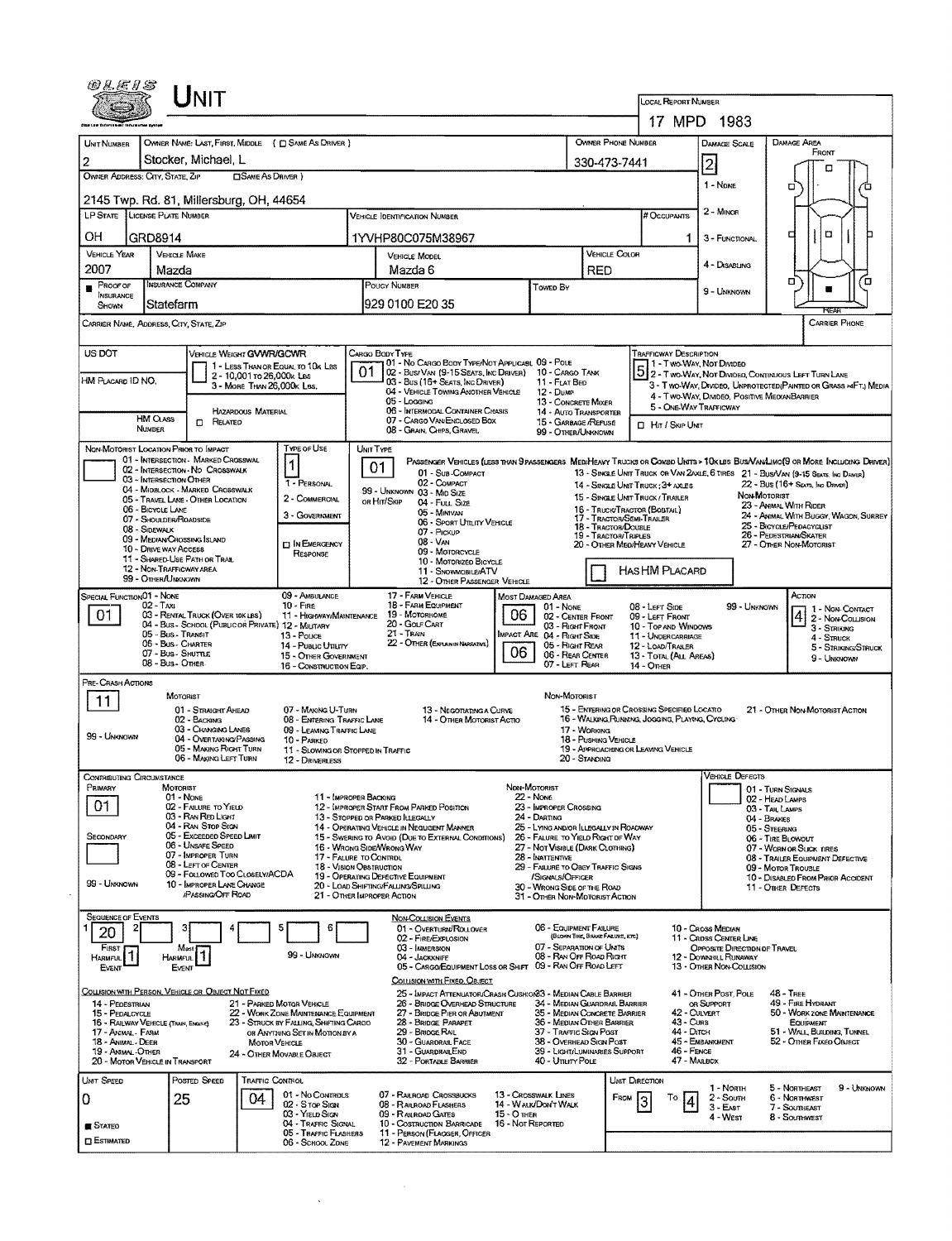|                                                               | $J$ NIT                                                                                 |                                                                                                                  |                                                                                                                 |                                                                            |                                                                                        |                                                             |                                                                                                                                            |                                                                                                                              |  |  |  |  |
|---------------------------------------------------------------|-----------------------------------------------------------------------------------------|------------------------------------------------------------------------------------------------------------------|-----------------------------------------------------------------------------------------------------------------|----------------------------------------------------------------------------|----------------------------------------------------------------------------------------|-------------------------------------------------------------|--------------------------------------------------------------------------------------------------------------------------------------------|------------------------------------------------------------------------------------------------------------------------------|--|--|--|--|
|                                                               |                                                                                         |                                                                                                                  |                                                                                                                 |                                                                            |                                                                                        | LOCAL REPORT NUMBER                                         | 17 MPD 1983                                                                                                                                |                                                                                                                              |  |  |  |  |
| UNIT NUMBER                                                   | OWNER NAME: LAST, FIRST, MIDDLE ( C) SAME AS DRIVER )                                   |                                                                                                                  |                                                                                                                 |                                                                            | OWNER PHONE NUMBER                                                                     | DAMAGE SCALE                                                | <b>DAMAGE AREA</b>                                                                                                                         |                                                                                                                              |  |  |  |  |
| $\overline{2}$                                                | Stocker, Michael, L                                                                     |                                                                                                                  |                                                                                                                 | 330-473-7441                                                               |                                                                                        | 2                                                           | FRONT                                                                                                                                      |                                                                                                                              |  |  |  |  |
| OWNER ADDRESS: CITY, STATE, ZIP                               |                                                                                         | <b>CISAME AS DRIVER</b> )                                                                                        |                                                                                                                 |                                                                            |                                                                                        |                                                             | п                                                                                                                                          |                                                                                                                              |  |  |  |  |
|                                                               | 2145 Twp. Rd. 81, Millersburg, OH, 44654                                                |                                                                                                                  |                                                                                                                 |                                                                            |                                                                                        |                                                             | 1 - NDNE                                                                                                                                   | □                                                                                                                            |  |  |  |  |
|                                                               | LP STATE LICENSE PLATE NUMBER                                                           |                                                                                                                  | VEHICLE JOENTIFICATION NUMBER                                                                                   |                                                                            |                                                                                        | # Occupants                                                 | 2 - MINOR                                                                                                                                  |                                                                                                                              |  |  |  |  |
| OН                                                            | GRD8914                                                                                 |                                                                                                                  | 1YVHP80C075M38967                                                                                               |                                                                            | 1.                                                                                     | 3 - FUNCTIONAL                                              | $\Box$<br>о                                                                                                                                |                                                                                                                              |  |  |  |  |
| <b>VEHICLE YEAR</b>                                           | <b>VEHICLE MAKE</b>                                                                     |                                                                                                                  | <b>VEHICLE MODEL</b>                                                                                            | VEHICLE COLOR                                                              |                                                                                        | 4 - DISABUNG                                                |                                                                                                                                            |                                                                                                                              |  |  |  |  |
| 2007<br>$P_{\text{ROOF OF}}$                                  | Mazda<br>INSURANCE COMPANY                                                              |                                                                                                                  | Mazda 6<br>POUCY NUMBER                                                                                         | RED                                                                        |                                                                                        |                                                             | п<br>Έ                                                                                                                                     |                                                                                                                              |  |  |  |  |
| <b>INSURANCE</b><br>SHOWN                                     | Statefarm                                                                               |                                                                                                                  | l929 0100 E20 35                                                                                                | Toweo By                                                                   |                                                                                        |                                                             | 9 - UNKNOWN                                                                                                                                | RFA                                                                                                                          |  |  |  |  |
|                                                               | CARRIER NAME, ADDRESS, CITY, STATE, ZIP                                                 |                                                                                                                  |                                                                                                                 |                                                                            |                                                                                        |                                                             |                                                                                                                                            | <b>CARRIER PHONE</b>                                                                                                         |  |  |  |  |
| US DOT                                                        | VEHICLE WEIGHT GVWR/GCWR                                                                |                                                                                                                  | CARGO BODY TYPE                                                                                                 |                                                                            |                                                                                        | <b>TRAFFICWAY DESCRIPTION</b>                               |                                                                                                                                            |                                                                                                                              |  |  |  |  |
|                                                               |                                                                                         | 1 - LESS THAN OR EQUAL TO 10K LBS<br>2 - 10,001 to 26,000x Las                                                   | 01 - No Cargo Body Type/Not Applicast, 09 - Pole<br>01<br>02 - Bus/Van (9-15 Seats, Inc Driver) 10 - Cargo Tank |                                                                            |                                                                                        |                                                             |                                                                                                                                            | 3 1 - T WO-WAY, NOT DIVIDED<br>5 2 - T WO-WAY, NOT DIVIDED, CONTINUOUS LEFT TURN LANE                                        |  |  |  |  |
| HM Placard ID NO.                                             |                                                                                         | 3 - MORE THAN 26,000K LBS.                                                                                       | 03 - Bus (16+ Seats, Inc Driver)<br>04 - VEHICLE TOWING ANOTHER VEHICLE                                         | 11 - FLAT BED<br>12 - Dump                                                 |                                                                                        |                                                             | 3 - Two-Way, Divideo, Unprotected (Painted or Grass > FT.) Media<br>4 - Two-Way, Divideo, Positive MedianBarrier<br>5 - ONE-WAY TRAFFICWAY |                                                                                                                              |  |  |  |  |
|                                                               | HAZARDOUS MATERIAL                                                                      |                                                                                                                  | 05 - Logging<br>06 - INTERMODAL CONTAINER CHASIS                                                                |                                                                            | 13 - CONCRETE MIXER<br>14 - AUTO TRANSPORTER                                           |                                                             |                                                                                                                                            |                                                                                                                              |  |  |  |  |
|                                                               | <b>HM CLASS</b><br>$\Box$ Related<br><b>NUMBER</b>                                      |                                                                                                                  | 07 - CARGO VAN/ENCLOSED BOX<br>08 - GRAIN, CHIPS, GRAVEL                                                        |                                                                            | 15 - GARBAGE /REFUSE<br>99 - OTHER/UNKNOWN                                             |                                                             | <b>D</b> HIT / SKIP UNIT                                                                                                                   |                                                                                                                              |  |  |  |  |
|                                                               | NON-MOTORIST LOCATION PRIOR TO IMPACT<br>01 - INTERSECTION - MARKED CROSSWAL            | TYPE OF USE                                                                                                      | UNIT TYPE                                                                                                       |                                                                            |                                                                                        |                                                             |                                                                                                                                            | PASSENGER VEHICLES (LESS THAN 9 PASSENGERS MED/HEAVY TRUCKS OR COMBO UNITS > 10KLBS BUS/VAN/LIMO(9 OR MORE INCLUDING DRIVER) |  |  |  |  |
|                                                               | 02 - INTERSECTION - NO CROSSWALK<br>03 - Intersection Other                             | 1                                                                                                                | 01<br>01 - Sub-COMPACT<br>02 - COMPACT                                                                          |                                                                            |                                                                                        |                                                             |                                                                                                                                            | 13 - SINGLE UNIT TRUCK OR VAN 2AXLE, 6 TIRES 21 - BUS/VAN (9-15 SEATS, INC DRIVER)                                           |  |  |  |  |
|                                                               | 04 - MIDBLOCK - MARKED CROSSWALK<br>05 - TRAVEL LANE - OTHER LOCATION                   | 1 - PERSONAL<br>2 - COMMERCIAL                                                                                   | 99 - UNKNOWN 03 - MID SIZE<br>OR HIT/SKIP<br>04 - Full Size                                                     |                                                                            |                                                                                        | 15 - SINGLE UNIT TRUCK / TRAILER                            | 22 - Bus (16+ Seats, Inc Driver)<br>14 - SINGLE UNIT TRUCK: 3+ AXLES<br>NON-MOTORIST                                                       |                                                                                                                              |  |  |  |  |
|                                                               | 06 - BICYCLE LANE<br>07 - SHOULDER/ROADSIDE                                             | 3 - GOVERNMENT                                                                                                   | 05 - MINIVAN<br>06 - SPORT UTILITY VEHICLE                                                                      |                                                                            |                                                                                        | 16 - Truck/Tractor (BOBTAIL)<br>17 - TRACTOR/SEMI-TRAILER   | 23 - ANIMAL WITH RIDER<br>24 - ANIMAL WITH BUGGY, WAGON, SURREY                                                                            |                                                                                                                              |  |  |  |  |
|                                                               | 08 - SIDEWALK<br>09 - MEDIAN/CROSSING SLAND                                             | <b>DIN EMERGENCY</b>                                                                                             | 07 - PICKUP<br>$08 - V_{AN}$                                                                                    |                                                                            | 18 - TRACTOR/DOUBLE<br>19 - TRACTOR/TRIPLES                                            | 20 - OTHER MED/HEAVY VEHICLE                                | 25 - BICYCLE/PEDACYCLIST<br>26 - PEDESTRIAN SKATER<br>27 - OTHER NON-MOTORIST                                                              |                                                                                                                              |  |  |  |  |
|                                                               | 10 - DRIVE WAY ACCESS<br>11 - SHARED-USE PATH OR TRAIL                                  | RESPONSE                                                                                                         | 09 - MOTORCYCLE<br>10 - MOTORIZED BICYCLE                                                                       |                                                                            |                                                                                        |                                                             |                                                                                                                                            |                                                                                                                              |  |  |  |  |
|                                                               | 12 - NON-TRAFFICWAY AREA<br>99 - OTHER/UNKNOWN                                          |                                                                                                                  | 11 - SNOWMOBILE/ATV<br>12 - OTHER PASSENGER VEHICLE                                                             |                                                                            |                                                                                        | HAS HM PLACARD                                              |                                                                                                                                            |                                                                                                                              |  |  |  |  |
| Special Function 01 - None                                    | 02 - TAXL                                                                               | 09 - AMBULANCE<br>$10 -$ Fige                                                                                    | 17 - FARM VEHICLE<br>18 - FARM EQUIPMENT                                                                        | Most Damaged Area<br>01 - NONE                                             |                                                                                        | 08 - LEFT SIDE                                              | 99 - UNKNOWN                                                                                                                               | ACTION<br>1 - NON-CONTACT                                                                                                    |  |  |  |  |
| 01                                                            | 03 - RENTAL TRUCK (OVER 10K LBS)<br>04 - Bus - School (Public or Private) 12 - Military | 11 - Highway/Maintenance                                                                                         | 19 - MOTORHOME<br>20 - Gouf Cart                                                                                | 06                                                                         | 02 - CENTER FRONT<br>03 - Right Front                                                  | 09 - LEFT FRONT<br>10 - Top and Windows                     |                                                                                                                                            | 2 - Non-Collision<br>3 - STRIKING                                                                                            |  |  |  |  |
|                                                               | 05 - Bus - Transit<br>06 - Bus - CHARTER                                                | 13 - Pouce<br>14 - Pusuc UTILITY                                                                                 | 21 - Thain<br>22 - OTHER (EXPLANN NARRATIVE)                                                                    | IMPACT ARE 04 - RIGHT SIDE                                                 | 05 - Right Rear                                                                        | 11 - UNDERCARRIAGE<br>12 - LOAD/TRAILER                     |                                                                                                                                            | 4 - STRUCK<br>5 - Striking/Struck                                                                                            |  |  |  |  |
|                                                               | 07 - Bus - SHUTTLE<br>08 - Bus - OTHER                                                  | 15 - OTHER GOVERNMENT<br>16 - CONSTRUCTION EQIP.                                                                 |                                                                                                                 | 06                                                                         | 06 - REAR CENTER<br>07 - LEFT REAR                                                     | 13 - TOTAL (ALL AREAS)<br>$14 -$ OTHER                      |                                                                                                                                            | 9 - Unknown                                                                                                                  |  |  |  |  |
| PRE- CRASH ACTIONS                                            |                                                                                         |                                                                                                                  |                                                                                                                 |                                                                            |                                                                                        |                                                             |                                                                                                                                            |                                                                                                                              |  |  |  |  |
| 11                                                            | MOTORIST<br>01 - STRAIGHT AHEAD                                                         | 07 - MAKING U-TURN                                                                                               | 13 - Negotiating a Curve                                                                                        |                                                                            | NON-MOTORIST                                                                           | 15 - ENTERING OR CROSSING SPECIFIED LOCATIO                 |                                                                                                                                            | 21 - OTHER NON-MOTORIST ACTION                                                                                               |  |  |  |  |
|                                                               | 02 - BACKING<br>03 - CHANGING LANES                                                     | 08 - ENTERING TRAFFIC LANE<br>09 - LEAVING TRAFFIC LANE                                                          | 14 - OTHER MOTORIST ACTIO                                                                                       | 17 - WORKING                                                               |                                                                                        | 16 - WALKING RUNNING, JOGGING, PLAYING, CYCLING             |                                                                                                                                            |                                                                                                                              |  |  |  |  |
| 99 - UNKNOWN                                                  | 04 - OVERTAKING/PASSING<br>05 - MAKING RIGHT TURN                                       | 10 - PARKED                                                                                                      | 11 - SLOWING OR STOPPED IN TRAFFIC                                                                              |                                                                            | 18 - PUSHING VEHICLE<br>19 - APPROACHING OR LEAVING VEHICLE                            |                                                             |                                                                                                                                            |                                                                                                                              |  |  |  |  |
| CONTRIBUTING CIRCUMSTANCE                                     | 06 - MAKING LEFT TURN                                                                   | 12 - DRIVERLESS                                                                                                  |                                                                                                                 |                                                                            | 20 - Standing                                                                          |                                                             | <b>VEHICLE DEFECTS</b>                                                                                                                     |                                                                                                                              |  |  |  |  |
| PRIMARY                                                       | MOTORIST<br>01 - NONE                                                                   |                                                                                                                  | 11 - IMPROPER BACKING                                                                                           | NON-MOTORIST<br>$22 - None$                                                |                                                                                        |                                                             |                                                                                                                                            | 01 - TURN SIGNALS<br>02 - HEAD LAMPS                                                                                         |  |  |  |  |
| 01.                                                           | 02 - FAILURE TO YIELD<br>03 - RAN RED LIGHT                                             |                                                                                                                  | 12 - IMPROPER START FROM PARKED POSITION<br>13 - STOPPED OR PARKED ILLEGALLY                                    | 23 - IMPROPER CROSSING<br>24 - DARTING                                     |                                                                                        |                                                             |                                                                                                                                            | 03 - TAIL LAMPS<br>04 - BRAKES                                                                                               |  |  |  |  |
| <b>SECONDARY</b>                                              | 04 - RAN STOP SIGN<br>05 - Excessed Speed Limit                                         |                                                                                                                  | 14 - OPERATING VEHICLE IN NEGLIGENT MANNER<br>15 - Swering to Avoid (Due to External Conditions)                | 25 - LYING AND/OR LLEGALLY IN ROADWAY<br>26 - FALURE TO YIELD RIGHT OF WAY |                                                                                        |                                                             | 05 - STEERING<br>06 - TIRE BLOWOUT                                                                                                         |                                                                                                                              |  |  |  |  |
|                                                               | 06 - UNSAFE SPEED<br>07 - IMPROPER TURN                                                 |                                                                                                                  | 16 - WRONG SIDE/WRONG WAY<br>17 - FALURE TO CONTROL                                                             | 27 - NOT VISIBLE (DARK CLOTHING)<br>28 - Inattentive                       |                                                                                        | 07 - WORN OR SUCK TIRES<br>08 - TRAILER EQUIPMENT DEFECTIVE |                                                                                                                                            |                                                                                                                              |  |  |  |  |
|                                                               | 08 - LEFT OF CENTER<br>09 - Followed Too Closely/ACDA                                   |                                                                                                                  | <b>18 - VISION OBSTRUCTION</b><br>19 - OPERATING DEFECTIVE EQUIPMENT                                            | 29 - FAILURE TO OBEY TRAFFIC SIGNS<br>/SIGNALS/OFFICER                     |                                                                                        | 09 - Motor Trousle<br>10 - DISABLED FROM PRIOR ACCIDENT     |                                                                                                                                            |                                                                                                                              |  |  |  |  |
| 99 - Unknown                                                  | 10 - IMPROPER LANE CHANGE<br><b>PASSING OFF ROAD</b>                                    |                                                                                                                  | 20 - LOAD SHIFTING/FALLING/SPILLING<br>21 - OTHER IMPROPER ACTION                                               |                                                                            | 30 - WRONG SIDE OF THE ROAD<br>31 - OTHER NON-MOTORIST ACTION                          |                                                             |                                                                                                                                            | 11 - OTHER DEFECTS                                                                                                           |  |  |  |  |
| <b>SEQUENCE OF EVENTS</b>                                     |                                                                                         |                                                                                                                  | <b>NON-COLLISION EVENTS</b>                                                                                     |                                                                            |                                                                                        |                                                             |                                                                                                                                            |                                                                                                                              |  |  |  |  |
| 20                                                            |                                                                                         | 6                                                                                                                | 01 - OVERTURN/ROLLOVER<br>02 - FIRE/EXPLOSION                                                                   |                                                                            | 06 - EQUIPMENT FAILURE<br>(BLOWN TIRE, BRAKE FAILURE, ETC)<br>07 - SEPARATION OF UNITS |                                                             | 10 - Cross Median<br>11 - CROSS CENTER LINE                                                                                                |                                                                                                                              |  |  |  |  |
| FIRST<br>11<br>HARMFUL<br>EVENT                               | Most<br>1<br>Harmful  <br>EVENT                                                         | 99 - LINKNOWN                                                                                                    | 03 - IMMERSION<br>04 - JACKKNIFE<br>05 - CARGO/EQUIPMENT LOSS OR SHIFT 09 - RAN OFF ROAD LEFT                   |                                                                            | 08 - RAN OFF ROAD RIGHT                                                                |                                                             | OPPOSITE DIRECTION OF TRAVEL<br>12 - DOWNSTILL RUNAWAY<br>13 - OTHER NON-COLLISION                                                         |                                                                                                                              |  |  |  |  |
|                                                               |                                                                                         |                                                                                                                  | COLLISION WITH FIXED, OBJECT                                                                                    |                                                                            |                                                                                        |                                                             |                                                                                                                                            |                                                                                                                              |  |  |  |  |
| 14 - PEDESTRIAN                                               | COLLISION WITH PERSON, VEHICLE OR OBJECT NOT FIXED                                      | 21 - PARKED MOTOR VEHICLE                                                                                        | 25 - IMPACT ATTENUATOR/CRASH CUSHION33 - MEDIAN CABLE BARRIER<br>26 - BRIDGE OVERHEAD STRUCTURE                 |                                                                            | 34 - MEDIAN GUARDRAIL BARRIER                                                          |                                                             | 41 - OTHER POST, POLE<br>OR SUPPORT                                                                                                        | $48 -$ TREE<br>49 - FIRE HYDRANT                                                                                             |  |  |  |  |
| 15 - PEDALCYCLE                                               | 16 - RAILWAY VEHICLE (TRAIN, ENGINE)                                                    | 22 - WORK ZONE MAINTENANCE EQUIPMENT<br>23 - STRUCK BY FALLING, SHIFTING CARGO<br>OR ANYTHING SET IN MOTION BY A | 27 - BRIDGE PIER OR ABUTMENT<br>28 - BRIDGE PARAPET<br>29 - BRIDGE RAIL                                         |                                                                            | 35 - MEDIAN CONCRETE BARRIER<br>36 - MEDIAN OTHER BARRIER<br>37 - TRAFFIC SIGN POST    | 43 - Cuns<br>44 - Олсн                                      | 42 - CULVERT                                                                                                                               | 50 - WORK ZONE MAINTENANCE<br><b>EQUIPMENT</b><br>51 - WALL, BUILDING, TUNNEL                                                |  |  |  |  |
| 17 - Anemal - Farm<br>18 - ANIMAL - DEER<br>19 - ANIMAL OTHER |                                                                                         | <b>MOTOR VEHICLE</b>                                                                                             | 30 - GUARDRAIL FACE<br>31 - GUARDRAILEND                                                                        |                                                                            | 38 - Overhead Sign Post<br>39 - LIGHT/LUMINARIES SUPPORT                               | 46 - FENCE                                                  | 45 - EMBANKMENT                                                                                                                            | 52 - OTHER FIXED OBJECT                                                                                                      |  |  |  |  |
|                                                               | 20 - MOTOR VEHICLE IN TRANSPORT                                                         | 24 - OTHER MOVABLE OBJECT                                                                                        | 32 - PORTABLE BARRIER                                                                                           |                                                                            | 40 - UTILITY POLE                                                                      | 47 - MAILBOX                                                |                                                                                                                                            |                                                                                                                              |  |  |  |  |
| UNIT SPEED                                                    | Posted Speed                                                                            | TRAFFIC CONTROL<br>01 - No Controls                                                                              | 07 - RAILROAD CROSSBUCKS                                                                                        | 13 - Crosswalk Lines                                                       |                                                                                        | UNIT DIRECTION                                              | 1 - North                                                                                                                                  | 5 - NORTHEAST<br>9 - UNKNOWN                                                                                                 |  |  |  |  |
| 0                                                             | 25<br>04                                                                                | 02 - Stor Sign<br>03 - YIELD SIGN                                                                                | 08 - RAILROAD FLASHERS<br>09 - RALROAD GATES                                                                    | 14 - WALK/DON'T WALK<br>15 - О тнея                                        |                                                                                        | Τо<br>FROM<br>4<br>3                                        | 2 - South<br>$3 - E$ AST                                                                                                                   | 6 - NORTHWEST<br>7 - SOUTHEAST                                                                                               |  |  |  |  |
| STATED                                                        |                                                                                         | 04 - TRAFFIC SIGNAL<br>05 - TRAFFIC FLASHERS                                                                     | 10 - Costruction Barricade<br>11 - PERSON (FLACGER, OFFICER                                                     | 16 - Not Reported                                                          |                                                                                        |                                                             | 4 - West                                                                                                                                   | 8 - Southwest                                                                                                                |  |  |  |  |
| <b>CI ESTIMATED</b>                                           |                                                                                         | 06 - SCHOOL ZONE                                                                                                 | 12 - PAVEMENT MARKINGS                                                                                          |                                                                            |                                                                                        |                                                             |                                                                                                                                            |                                                                                                                              |  |  |  |  |

 $\label{eq:2.1} \frac{1}{\sqrt{2\pi}}\sum_{i=1}^n\frac{1}{\sqrt{2\pi}}\int_{-\infty}^{\infty}\frac{1}{\sqrt{2\pi}}\frac{dx}{(x^2+y^2)^2}dx$